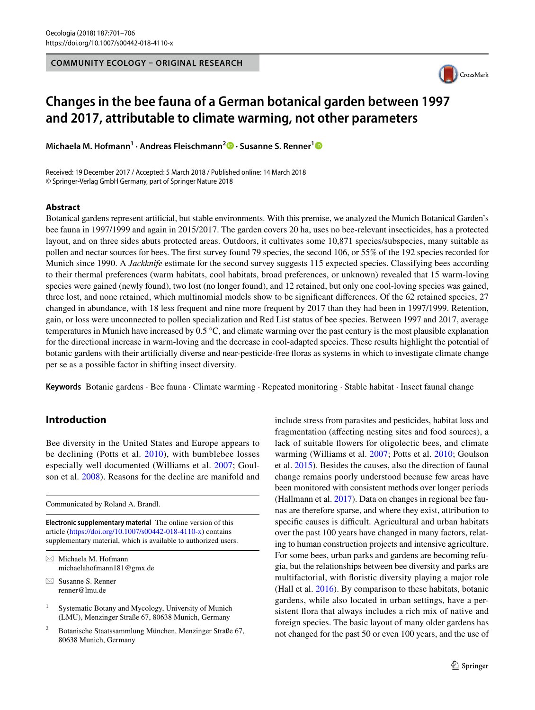**COMMUNITY ECOLOGY – ORIGINAL RESEARCH**



# **Changes in the bee fauna of a German botanical garden between 1997 and 2017, attributable to climate warming, not other parameters**

**Michaela M. Hofmann1 · Andreas Fleischmann2  [·](http://orcid.org/0000-0002-4917-4736) Susanne S. Renner[1](http://orcid.org/0000-0003-3704-0703)**

Received: 19 December 2017 / Accepted: 5 March 2018 / Published online: 14 March 2018 © Springer-Verlag GmbH Germany, part of Springer Nature 2018

#### **Abstract**

Botanical gardens represent artifcial, but stable environments. With this premise, we analyzed the Munich Botanical Garden's bee fauna in 1997/1999 and again in 2015/2017. The garden covers 20 ha, uses no bee-relevant insecticides, has a protected layout, and on three sides abuts protected areas. Outdoors, it cultivates some 10,871 species/subspecies, many suitable as pollen and nectar sources for bees. The frst survey found 79 species, the second 106, or 55% of the 192 species recorded for Munich since 1990. A *Jackknife* estimate for the second survey suggests 115 expected species. Classifying bees according to their thermal preferences (warm habitats, cool habitats, broad preferences, or unknown) revealed that 15 warm-loving species were gained (newly found), two lost (no longer found), and 12 retained, but only one cool-loving species was gained, three lost, and none retained, which multinomial models show to be signifcant diferences. Of the 62 retained species, 27 changed in abundance, with 18 less frequent and nine more frequent by 2017 than they had been in 1997/1999. Retention, gain, or loss were unconnected to pollen specialization and Red List status of bee species. Between 1997 and 2017, average temperatures in Munich have increased by 0.5 °C, and climate warming over the past century is the most plausible explanation for the directional increase in warm-loving and the decrease in cool-adapted species. These results highlight the potential of botanic gardens with their artifcially diverse and near-pesticide-free foras as systems in which to investigate climate change per se as a possible factor in shifting insect diversity.

**Keywords** Botanic gardens · Bee fauna · Climate warming · Repeated monitoring · Stable habitat · Insect faunal change

# **Introduction**

Bee diversity in the United States and Europe appears to be declining (Potts et al. [2010\)](#page-5-0), with bumblebee losses especially well documented (Williams et al. [2007](#page-5-1); Goulson et al. [2008\)](#page-5-2). Reasons for the decline are manifold and

Communicated by Roland A. Brandl.

**Electronic supplementary material** The online version of this article [\(https://doi.org/10.1007/s00442-018-4110-x\)](https://doi.org/10.1007/s00442-018-4110-x) contains supplementary material, which is available to authorized users.

 $\boxtimes$  Michaela M. Hofmann michaelahofmann181@gmx.de

 $\boxtimes$  Susanne S. Renner renner@lmu.de

<sup>1</sup> Systematic Botany and Mycology, University of Munich (LMU), Menzinger Straße 67, 80638 Munich, Germany

<sup>2</sup> Botanische Staatssammlung München, Menzinger Straße 67, 80638 Munich, Germany

include stress from parasites and pesticides, habitat loss and fragmentation (afecting nesting sites and food sources), a lack of suitable flowers for oligolectic bees, and climate warming (Williams et al. [2007;](#page-5-1) Potts et al. [2010](#page-5-0); Goulson et al. [2015](#page-5-3)). Besides the causes, also the direction of faunal change remains poorly understood because few areas have been monitored with consistent methods over longer periods (Hallmann et al. [2017](#page-5-4)). Data on changes in regional bee faunas are therefore sparse, and where they exist, attribution to specific causes is difficult. Agricultural and urban habitats over the past 100 years have changed in many factors, relating to human construction projects and intensive agriculture. For some bees, urban parks and gardens are becoming refugia, but the relationships between bee diversity and parks are multifactorial, with foristic diversity playing a major role (Hall et al. [2016\)](#page-5-5). By comparison to these habitats, botanic gardens, while also located in urban settings, have a persistent fora that always includes a rich mix of native and foreign species. The basic layout of many older gardens has not changed for the past 50 or even 100 years, and the use of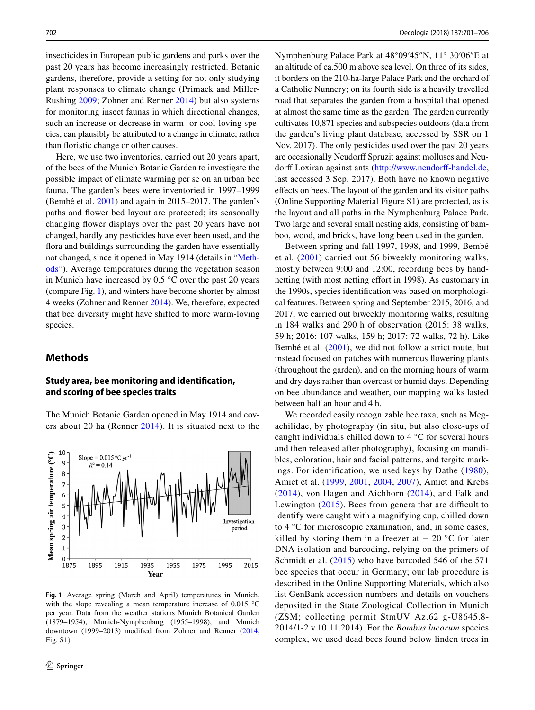insecticides in European public gardens and parks over the past 20 years has become increasingly restricted. Botanic gardens, therefore, provide a setting for not only studying plant responses to climate change (Primack and Miller-Rushing [2009;](#page-5-6) Zohner and Renner [2014\)](#page-5-7) but also systems for monitoring insect faunas in which directional changes, such an increase or decrease in warm- or cool-loving species, can plausibly be attributed to a change in climate, rather than foristic change or other causes.

Here, we use two inventories, carried out 20 years apart, of the bees of the Munich Botanic Garden to investigate the possible impact of climate warming per se on an urban bee fauna. The garden's bees were inventoried in 1997–1999 (Bembé et al. [2001](#page-5-8)) and again in 2015–2017. The garden's paths and fower bed layout are protected; its seasonally changing fower displays over the past 20 years have not changed, hardly any pesticides have ever been used, and the fora and buildings surrounding the garden have essentially not changed, since it opened in May 1914 (details in "[Meth](#page-1-0)[ods](#page-1-0)"). Average temperatures during the vegetation season in Munich have increased by 0.5 °C over the past 20 years (compare Fig. [1\)](#page-1-1), and winters have become shorter by almost 4 weeks (Zohner and Renner [2014](#page-5-7)). We, therefore, expected that bee diversity might have shifted to more warm-loving species.

# <span id="page-1-0"></span>**Methods**

## **Study area, bee monitoring and identifcation, and scoring of bee species traits**

The Munich Botanic Garden opened in May 1914 and covers about 20 ha (Renner [2014\)](#page-5-9). It is situated next to the



<span id="page-1-1"></span>**Fig. 1** Average spring (March and April) temperatures in Munich, with the slope revealing a mean temperature increase of 0.015 °C per year. Data from the weather stations Munich Botanical Garden (1879–1954), Munich-Nymphenburg (1955–1998), and Munich downtown (1999–2013) modifed from Zohner and Renner [\(2014](#page-5-7), Fig. S1)

Nymphenburg Palace Park at 48°09′45″N, 11° 30′06″E at an altitude of ca.500 m above sea level. On three of its sides, it borders on the 210-ha-large Palace Park and the orchard of a Catholic Nunnery; on its fourth side is a heavily travelled road that separates the garden from a hospital that opened at almost the same time as the garden. The garden currently cultivates 10,871 species and subspecies outdoors (data from the garden's living plant database, accessed by SSR on 1 Nov. 2017). The only pesticides used over the past 20 years are occasionally Neudorff Spruzit against molluscs and Neudorff Loxiran against ants (http://www.neudorff-handel.de, last accessed 3 Sep. 2017). Both have no known negative efects on bees. The layout of the garden and its visitor paths (Online Supporting Material Figure S1) are protected, as is the layout and all paths in the Nymphenburg Palace Park. Two large and several small nesting aids, consisting of bamboo, wood, and bricks, have long been used in the garden.

Between spring and fall 1997, 1998, and 1999, Bembé et al. [\(2001](#page-5-8)) carried out 56 biweekly monitoring walks, mostly between 9:00 and 12:00, recording bees by handnetting (with most netting effort in 1998). As customary in the 1990s, species identifcation was based on morphological features. Between spring and September 2015, 2016, and 2017, we carried out biweekly monitoring walks, resulting in 184 walks and 290 h of observation (2015: 38 walks, 59 h; 2016: 107 walks, 159 h; 2017: 72 walks, 72 h). Like Bembé et al. ([2001](#page-5-8)), we did not follow a strict route, but instead focused on patches with numerous fowering plants (throughout the garden), and on the morning hours of warm and dry days rather than overcast or humid days. Depending on bee abundance and weather, our mapping walks lasted between half an hour and 4 h.

We recorded easily recognizable bee taxa, such as Megachilidae, by photography (in situ, but also close-ups of caught individuals chilled down to 4 °C for several hours and then released after photography), focusing on mandibles, coloration, hair and facial patterns, and tergite markings. For identifcation, we used keys by Dathe ([1980](#page-5-10)), Amiet et al. ([1999](#page-5-11), [2001](#page-5-12), [2004,](#page-5-13) [2007](#page-5-14)), Amiet and Krebs ([2014](#page-5-15)), von Hagen and Aichhorn ([2014](#page-5-16)), and Falk and Lewington  $(2015)$  $(2015)$ . Bees from genera that are difficult to identify were caught with a magnifying cup, chilled down to 4 °C for microscopic examination, and, in some cases, killed by storing them in a freezer at  $-20$  °C for later DNA isolation and barcoding, relying on the primers of Schmidt et al. ([2015\)](#page-5-18) who have barcoded 546 of the 571 bee species that occur in Germany; our lab procedure is described in the Online Supporting Materials, which also list GenBank accession numbers and details on vouchers deposited in the State Zoological Collection in Munich (ZSM; collecting permit StmUV Az.62 g-U8645.8- 2014/1-2 v.10.11.2014). For the *Bombus lucorum* species complex, we used dead bees found below linden trees in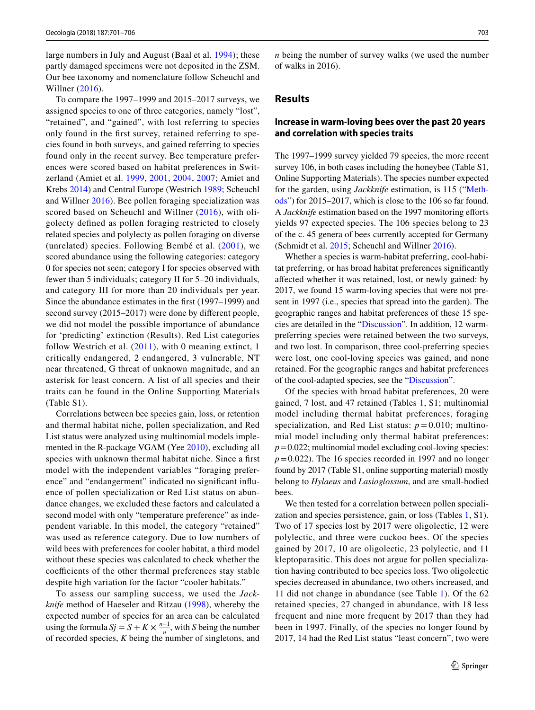large numbers in July and August (Baal et al. [1994](#page-5-19)); these partly damaged specimens were not deposited in the ZSM. Our bee taxonomy and nomenclature follow Scheuchl and Willner ([2016\)](#page-5-20).

To compare the 1997–1999 and 2015–2017 surveys, we assigned species to one of three categories, namely "lost", "retained", and "gained", with lost referring to species only found in the frst survey, retained referring to species found in both surveys, and gained referring to species found only in the recent survey. Bee temperature preferences were scored based on habitat preferences in Switzerland (Amiet et al. [1999,](#page-5-11) [2001](#page-5-12), [2004,](#page-5-13) [2007;](#page-5-14) Amiet and Krebs [2014\)](#page-5-15) and Central Europe (Westrich [1989;](#page-5-21) Scheuchl and Willner [2016](#page-5-20)). Bee pollen foraging specialization was scored based on Scheuchl and Willner ([2016](#page-5-20)), with oligolecty defned as pollen foraging restricted to closely related species and polylecty as pollen foraging on diverse (unrelated) species. Following Bembé et al. ([2001\)](#page-5-8), we scored abundance using the following categories: category 0 for species not seen; category I for species observed with fewer than 5 individuals; category II for 5–20 individuals, and category III for more than 20 individuals per year. Since the abundance estimates in the frst (1997–1999) and second survey (2015–2017) were done by diferent people, we did not model the possible importance of abundance for 'predicting' extinction (Results). Red List categories follow Westrich et al. ([2011\)](#page-5-22), with 0 meaning extinct, 1 critically endangered, 2 endangered, 3 vulnerable, NT near threatened, G threat of unknown magnitude, and an asterisk for least concern. A list of all species and their traits can be found in the Online Supporting Materials (Table S1).

Correlations between bee species gain, loss, or retention and thermal habitat niche, pollen specialization, and Red List status were analyzed using multinomial models implemented in the R-package VGAM (Yee [2010](#page-5-23)), excluding all species with unknown thermal habitat niche. Since a frst model with the independent variables "foraging preference" and "endangerment" indicated no signifcant infuence of pollen specialization or Red List status on abundance changes, we excluded these factors and calculated a second model with only "temperature preference" as independent variable. In this model, the category "retained" was used as reference category. Due to low numbers of wild bees with preferences for cooler habitat, a third model without these species was calculated to check whether the coefficients of the other thermal preferences stay stable despite high variation for the factor "cooler habitats."

To assess our sampling success, we used the *Jackknife* method of Haeseler and Ritzau ([1998\)](#page-5-24), whereby the expected number of species for an area can be calculated using the formula  $Sj = S + K \times \frac{n-1}{n}$ , with *S* being the number of recorded species, *K* being the number of singletons, and

*n* being the number of survey walks (we used the number of walks in 2016).

### <span id="page-2-0"></span>**Results**

## **Increase in warm‑loving bees over the past 20 years and correlation with species traits**

The 1997–1999 survey yielded 79 species, the more recent survey 106, in both cases including the honeybee (Table S1, Online Supporting Materials). The species number expected for the garden, using *Jackknife* estimation, is 115 (["Meth](#page-1-0)[ods](#page-1-0)") for 2015–2017, which is close to the 106 so far found. A *Jackknife* estimation based on the 1997 monitoring efforts yields 97 expected species. The 106 species belong to 23 of the c. 45 genera of bees currently accepted for Germany (Schmidt et al. [2015;](#page-5-18) Scheuchl and Willner [2016](#page-5-20)).

Whether a species is warm-habitat preferring, cool-habitat preferring, or has broad habitat preferences signifcantly afected whether it was retained, lost, or newly gained: by 2017, we found 15 warm-loving species that were not present in 1997 (i.e., species that spread into the garden). The geographic ranges and habitat preferences of these 15 species are detailed in the "[Discussion](#page-4-0)". In addition, 12 warmpreferring species were retained between the two surveys, and two lost. In comparison, three cool-preferring species were lost, one cool-loving species was gained, and none retained. For the geographic ranges and habitat preferences of the cool-adapted species, see the ["Discussion"](#page-4-0).

Of the species with broad habitat preferences, 20 were gained, 7 lost, and 47 retained (Tables [1](#page-3-0), S1; multinomial model including thermal habitat preferences, foraging specialization, and Red List status:  $p = 0.010$ ; multinomial model including only thermal habitat preferences:  $p=0.022$ ; multinomial model excluding cool-loving species:  $p=0.022$ ). The 16 species recorded in 1997 and no longer found by 2017 (Table S1, online supporting material) mostly belong to *Hylaeus* and *Lasioglossum*, and are small-bodied bees.

We then tested for a correlation between pollen specialization and species persistence, gain, or loss (Tables [1,](#page-3-0) S1). Two of 17 species lost by 2017 were oligolectic, 12 were polylectic, and three were cuckoo bees. Of the species gained by 2017, 10 are oligolectic, 23 polylectic, and 11 kleptoparasitic. This does not argue for pollen specialization having contributed to bee species loss. Two oligolectic species decreased in abundance, two others increased, and 11 did not change in abundance (see Table [1\)](#page-3-0). Of the 62 retained species, 27 changed in abundance, with 18 less frequent and nine more frequent by 2017 than they had been in 1997. Finally, of the species no longer found by 2017, 14 had the Red List status "least concern", two were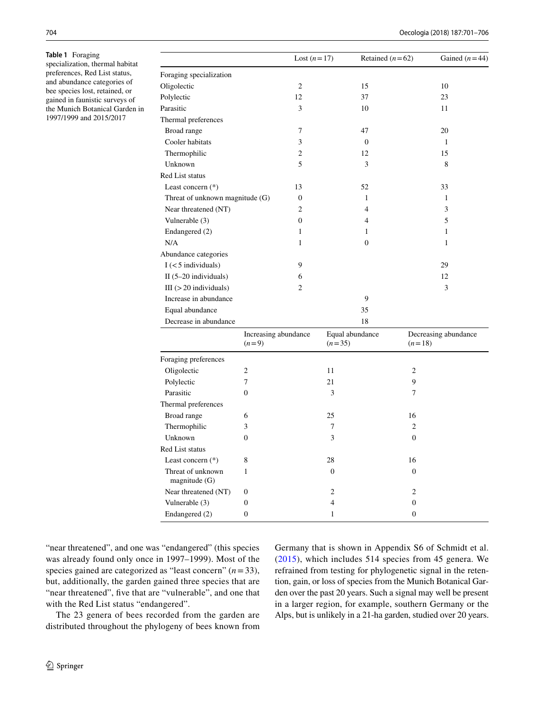<span id="page-3-0"></span>**Table 1** Foraging specialization, thermal habitat preferences, Red List status, and abundance categories of bee species lost, retained, or gained in faunistic surveys of the Munich Botanical Garden in 1997/1999 and 2015/2017

l,

|                                      |                                 | Lost $(n=17)$    |                             | Retained $(n=62)$ |                  | Gained $(n=44)$      |
|--------------------------------------|---------------------------------|------------------|-----------------------------|-------------------|------------------|----------------------|
| Foraging specialization              |                                 |                  |                             |                   |                  |                      |
| Oligolectic                          |                                 | $\overline{c}$   |                             | 15                |                  | 10                   |
| Polylectic                           |                                 | 12               |                             | 37                |                  | 23                   |
| Parasitic                            |                                 | 3                |                             | 10                |                  | 11                   |
| Thermal preferences                  |                                 |                  |                             |                   |                  |                      |
| Broad range                          |                                 | 7                |                             | 47                |                  | 20                   |
| Cooler habitats                      |                                 | 3                |                             | $\boldsymbol{0}$  |                  | 1                    |
| Thermophilic                         |                                 | 2                |                             | 12                |                  | 15                   |
| Unknown                              |                                 | 5                |                             | 3                 |                  | 8                    |
| Red List status                      |                                 |                  |                             |                   |                  |                      |
| Least concern $(*)$                  |                                 | 13               |                             | 52                |                  | 33                   |
| Threat of unknown magnitude (G)      |                                 | $\boldsymbol{0}$ |                             | 1                 |                  | 1                    |
| Near threatened (NT)                 |                                 | $\overline{c}$   |                             | 4                 |                  | 3                    |
| Vulnerable (3)                       |                                 | $\overline{0}$   |                             | 4                 |                  | 5                    |
| Endangered (2)                       |                                 | $\mathbf{1}$     |                             | 1                 |                  | $\mathbf{1}$         |
| N/A                                  |                                 | $\mathbf{1}$     |                             | $\boldsymbol{0}$  |                  | $\mathbf{1}$         |
| Abundance categories                 |                                 |                  |                             |                   |                  |                      |
| $I$ (<5 individuals)                 |                                 | 9                |                             |                   |                  | 29                   |
| II (5-20 individuals)                |                                 | 6                |                             |                   |                  | 12                   |
| III $(>20$ individuals)              |                                 | 2                |                             |                   |                  | 3                    |
| Increase in abundance                |                                 |                  |                             | 9                 |                  |                      |
| Equal abundance                      |                                 |                  |                             | 35                |                  |                      |
| Decrease in abundance                |                                 |                  |                             | 18                |                  |                      |
|                                      | Increasing abundance<br>$(n=9)$ |                  | Equal abundance<br>$(n=35)$ |                   | $(n=18)$         | Decreasing abundance |
| Foraging preferences                 |                                 |                  |                             |                   |                  |                      |
| Oligolectic                          | 2                               |                  | 11                          |                   | $\sqrt{2}$       |                      |
| Polylectic                           | 7                               |                  | 21                          |                   | $\mathbf{9}$     |                      |
| Parasitic                            | 0                               |                  | 3                           |                   | 7                |                      |
| Thermal preferences                  |                                 |                  |                             |                   |                  |                      |
| Broad range                          | 6                               |                  | 25                          |                   | 16               |                      |
| Thermophilic                         | 3                               |                  | 7                           |                   | $\overline{c}$   |                      |
| Unknown                              | 0                               |                  | 3                           |                   | $\boldsymbol{0}$ |                      |
| Red List status                      |                                 |                  |                             |                   |                  |                      |
| Least concern (*)                    | 8                               |                  | 28                          |                   | 16               |                      |
| Threat of unknown<br>magnitude $(G)$ | $\mathbf{1}$                    |                  | $\boldsymbol{0}$            |                   | $\mathbf{0}$     |                      |
| Near threatened (NT)                 | 0                               |                  | 2                           |                   | $\overline{c}$   |                      |
| Vulnerable (3)                       | 0                               |                  | $\overline{4}$              |                   | $\boldsymbol{0}$ |                      |
| Endangered (2)                       | $\boldsymbol{0}$                |                  | $\mathbf{1}$                |                   | $\boldsymbol{0}$ |                      |

"near threatened", and one was "endangered" (this species was already found only once in 1997–1999). Most of the species gained are categorized as "least concern" (*n*=33), but, additionally, the garden gained three species that are "near threatened", five that are "vulnerable", and one that with the Red List status "endangered".

The 23 genera of bees recorded from the garden are distributed throughout the phylogeny of bees known from Germany that is shown in Appendix S6 of Schmidt et al. ([2015](#page-5-18)), which includes 514 species from 45 genera. We refrained from testing for phylogenetic signal in the retention, gain, or loss of species from the Munich Botanical Garden over the past 20 years. Such a signal may well be present in a larger region, for example, southern Germany or the Alps, but is unlikely in a 21-ha garden, studied over 20 years.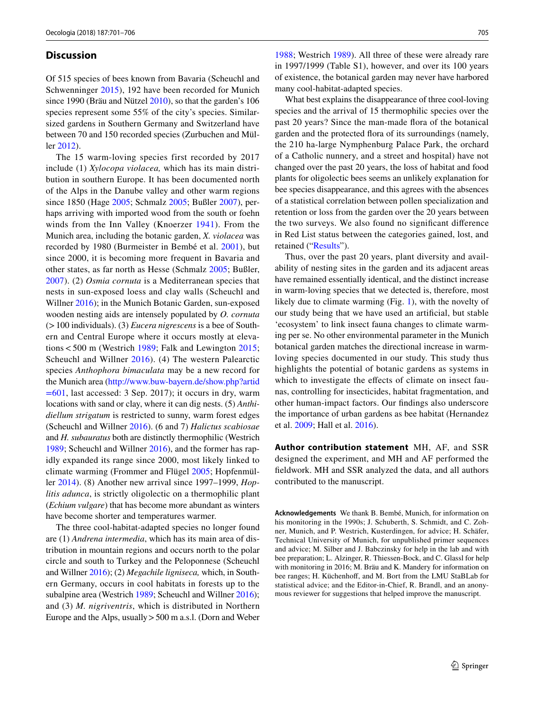#### <span id="page-4-0"></span>**Discussion**

Of 515 species of bees known from Bavaria (Scheuchl and Schwenninger [2015\)](#page-5-25), 192 have been recorded for Munich since 1990 (Bräu and Nützel [2010\)](#page-5-26), so that the garden's 106 species represent some 55% of the city's species. Similarsized gardens in Southern Germany and Switzerland have between 70 and 150 recorded species (Zurbuchen and Müller [2012](#page-5-27)).

The 15 warm-loving species first recorded by 2017 include (1) *Xylocopa violacea,* which has its main distribution in southern Europe. It has been documented north of the Alps in the Danube valley and other warm regions since 1850 (Hage [2005](#page-5-28); Schmalz [2005](#page-5-29); Bußler [2007](#page-5-30)), perhaps arriving with imported wood from the south or foehn winds from the Inn Valley (Knoerzer [1941](#page-5-31)). From the Munich area, including the botanic garden, *X. violacea* was recorded by 1980 (Burmeister in Bembé et al. [2001\)](#page-5-8), but since 2000, it is becoming more frequent in Bavaria and other states, as far north as Hesse (Schmalz [2005](#page-5-29); Bußler, [2007\)](#page-5-30). (2) *Osmia cornuta* is a Mediterranean species that nests in sun-exposed loess and clay walls (Scheuchl and Willner [2016](#page-5-20)); in the Munich Botanic Garden, sun-exposed wooden nesting aids are intensely populated by *O. cornuta* (>100 individuals). (3) *Eucera nigrescens* is a bee of Southern and Central Europe where it occurs mostly at elevations<500 m (Westrich [1989;](#page-5-21) Falk and Lewington [2015](#page-5-17); Scheuchl and Willner [2016](#page-5-20)). (4) The western Palearctic species *Anthophora bimaculata* may be a new record for the Munich area [\(http://www.buw-bayern.de/show.php?artid](http://www.buw-bayern.de/show.php%3fartid%3d601)  $=601$ , last accessed: 3 Sep. 2017); it occurs in dry, warm locations with sand or clay, where it can dig nests. (5) *Anthidiellum strigatum* is restricted to sunny, warm forest edges (Scheuchl and Willner [2016\)](#page-5-20). (6 and 7) *Halictus scabiosae* and *H. subauratus* both are distinctly thermophilic (Westrich [1989](#page-5-21); Scheuchl and Willner [2016](#page-5-20)), and the former has rapidly expanded its range since 2000, most likely linked to climate warming (Frommer and Flügel [2005;](#page-5-32) Hopfenmüller [2014\)](#page-5-33). (8) Another new arrival since 1997–1999, *Hoplitis adunca*, is strictly oligolectic on a thermophilic plant (*Echium vulgare*) that has become more abundant as winters have become shorter and temperatures warmer.

The three cool-habitat-adapted species no longer found are (1) *Andrena intermedia*, which has its main area of distribution in mountain regions and occurs north to the polar circle and south to Turkey and the Peloponnese (Scheuchl and Willner [2016](#page-5-20)); (2) *Megachile ligniseca,* which, in Southern Germany, occurs in cool habitats in forests up to the subalpine area (Westrich [1989;](#page-5-21) Scheuchl and Willner [2016\)](#page-5-20); and (3) *M. nigriventris*, which is distributed in Northern Europe and the Alps, usually>500 m a.s.l. (Dorn and Weber

[1988](#page-5-34); Westrich [1989](#page-5-21)). All three of these were already rare in 1997/1999 (Table S1), however, and over its 100 years of existence, the botanical garden may never have harbored many cool-habitat-adapted species.

What best explains the disappearance of three cool-loving species and the arrival of 15 thermophilic species over the past 20 years? Since the man-made fora of the botanical garden and the protected fora of its surroundings (namely, the 210 ha-large Nymphenburg Palace Park, the orchard of a Catholic nunnery, and a street and hospital) have not changed over the past 20 years, the loss of habitat and food plants for oligolectic bees seems an unlikely explanation for bee species disappearance, and this agrees with the absences of a statistical correlation between pollen specialization and retention or loss from the garden over the 20 years between the two surveys. We also found no signifcant diference in Red List status between the categories gained, lost, and retained ("[Results"](#page-2-0)).

Thus, over the past 20 years, plant diversity and availability of nesting sites in the garden and its adjacent areas have remained essentially identical, and the distinct increase in warm-loving species that we detected is, therefore, most likely due to climate warming (Fig. [1](#page-1-1)), with the novelty of our study being that we have used an artifcial, but stable 'ecosystem' to link insect fauna changes to climate warming per se. No other environmental parameter in the Munich botanical garden matches the directional increase in warmloving species documented in our study. This study thus highlights the potential of botanic gardens as systems in which to investigate the effects of climate on insect faunas, controlling for insecticides, habitat fragmentation, and other human-impact factors. Our fndings also underscore the importance of urban gardens as bee habitat (Hernandez et al. [2009](#page-5-35); Hall et al. [2016\)](#page-5-5).

**Author contribution statement** MH, AF, and SSR designed the experiment, and MH and AF performed the feldwork. MH and SSR analyzed the data, and all authors contributed to the manuscript.

**Acknowledgements** We thank B. Bembé, Munich, for information on his monitoring in the 1990s; J. Schuberth, S. Schmidt, and C. Zohner, Munich, and P. Westrich, Kusterdingen, for advice; H. Schäfer, Technical University of Munich, for unpublished primer sequences and advice; M. Silber and J. Babczinsky for help in the lab and with bee preparation; L. Alzinger, R. Thiessen-Bock, and C. Glassl for help with monitoring in 2016; M. Bräu and K. Mandery for information on bee ranges; H. Küchenhoff, and M. Bort from the LMU StaBLab for statistical advice; and the Editor-in-Chief, R. Brandl, and an anonymous reviewer for suggestions that helped improve the manuscript.